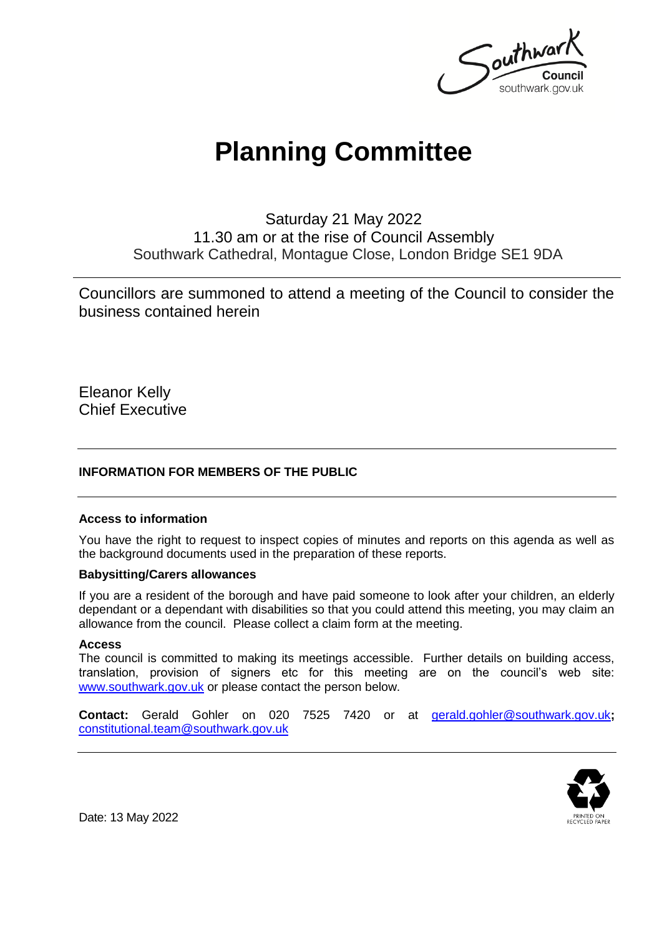

# **Planning Committee**

Saturday 21 May 2022 11.30 am or at the rise of Council Assembly Southwark Cathedral, Montague Close, London Bridge SE1 9DA

Councillors are summoned to attend a meeting of the Council to consider the business contained herein

Eleanor Kelly Chief Executive

#### **INFORMATION FOR MEMBERS OF THE PUBLIC**

#### **Access to information**

You have the right to request to inspect copies of minutes and reports on this agenda as well as the background documents used in the preparation of these reports.

#### **Babysitting/Carers allowances**

If you are a resident of the borough and have paid someone to look after your children, an elderly dependant or a dependant with disabilities so that you could attend this meeting, you may claim an allowance from the council. Please collect a claim form at the meeting.

#### **Access**

The council is committed to making its meetings accessible. Further details on building access, translation, provision of signers etc for this meeting are on the council's web site: [www.southwark.gov.uk](http://www.southwark.gov.uk/Public/Home.aspx) or please contact the person below.

**Contact:** Gerald Gohler on 020 7525 7420 or at [gerald.gohler@southwark.gov.uk](mailto:gerald.gohler@southwark.gov.uk)**;**  [constitutional.team@southwark.gov.uk](mailto:constitutional.team@southwark.gov.uk)



Date: 13 May 2022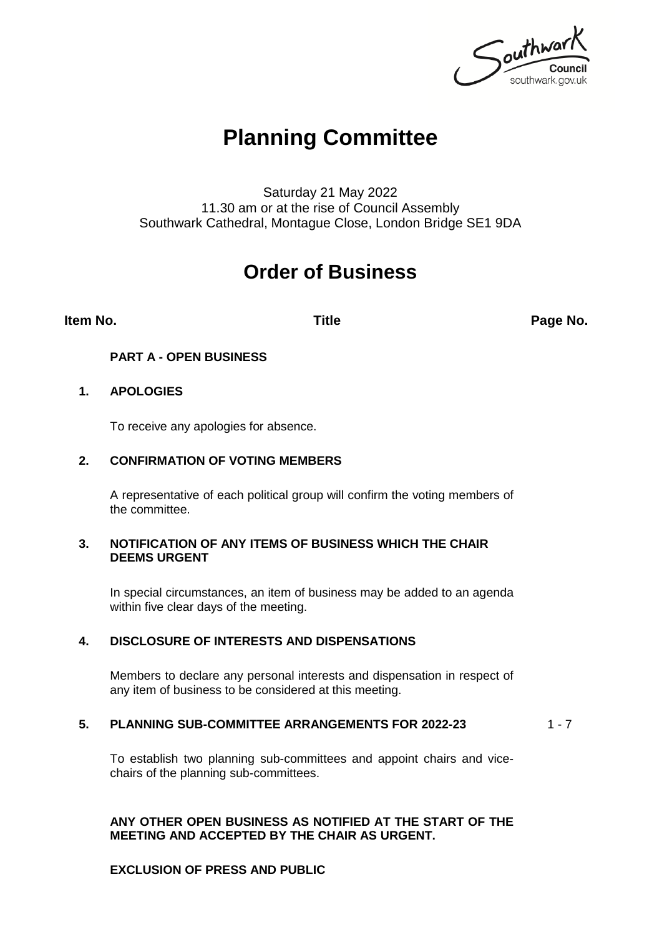Southwark southwark.gov.uk

## **Planning Committee**

Saturday 21 May 2022 11.30 am or at the rise of Council Assembly Southwark Cathedral, Montague Close, London Bridge SE1 9DA

### **Order of Business**

**Item No. Title Page No.**

#### **PART A - OPEN BUSINESS**

#### **1. APOLOGIES**

To receive any apologies for absence.

#### **2. CONFIRMATION OF VOTING MEMBERS**

A representative of each political group will confirm the voting members of the committee.

#### **3. NOTIFICATION OF ANY ITEMS OF BUSINESS WHICH THE CHAIR DEEMS URGENT**

In special circumstances, an item of business may be added to an agenda within five clear days of the meeting.

#### **4. DISCLOSURE OF INTERESTS AND DISPENSATIONS**

Members to declare any personal interests and dispensation in respect of any item of business to be considered at this meeting.

#### **5. PLANNING SUB-COMMITTEE ARRANGEMENTS FOR 2022-23** 1 - 7

To establish two planning sub-committees and appoint chairs and vicechairs of the planning sub-committees.

#### **ANY OTHER OPEN BUSINESS AS NOTIFIED AT THE START OF THE MEETING AND ACCEPTED BY THE CHAIR AS URGENT.**

#### **EXCLUSION OF PRESS AND PUBLIC**